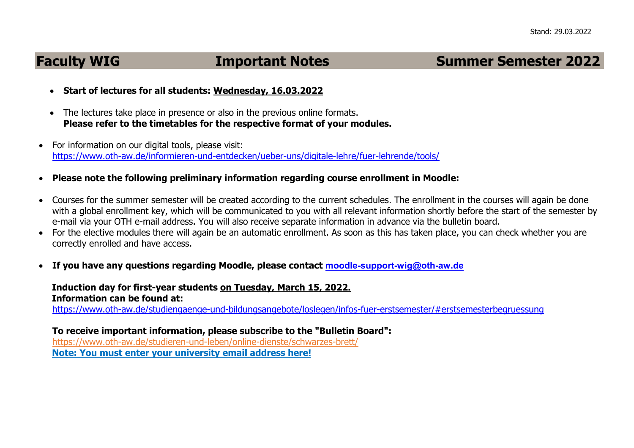## **Faculty WIG Manufacture Important Notes Summer Semester 2022**

- **Start of lectures for all students: Wednesday, 16.03.2022**
- The lectures take place in presence or also in the previous online formats. **Please refer to the timetables for the respective format of your modules.**
- For information on our digital tools, please visit: <https://www.oth-aw.de/informieren-und-entdecken/ueber-uns/digitale-lehre/fuer-lehrende/tools/>
- **Please note the following preliminary information regarding course enrollment in Moodle:**
- Courses for the summer semester will be created according to the current schedules. The enrollment in the courses will again be done with a global enrollment key, which will be communicated to you with all relevant information shortly before the start of the semester by e-mail via your OTH e-mail address. You will also receive separate information in advance via the bulletin board.
- For the elective modules there will again be an automatic enrollment. As soon as this has taken place, you can check whether you are correctly enrolled and have access.
- **If you have any questions regarding Moodle, please contact [moodle-support-wig@oth-aw.de](mailto:moodle-support-wig@oth-aw.de)**

## **Induction day for first-year students on Tuesday, March 15, 2022. Information can be found at:**

[https://www.oth-aw.de/studiengaenge-und-bildungsangebote/loslegen/infos-fuer-erstsemester/#erstsemesterbegruessung](https://www.oth-aw.de/studiengaenge-und-bildungsangebote/loslegen/infos-fuer-erstsemester/#erstsemesterbegruessung%20) 

**To receive important information, please subscribe to the "Bulletin Board":** <https://www.oth-aw.de/studieren-und-leben/online-dienste/schwarzes-brett/>  **Note: You must enter your university email address here!**